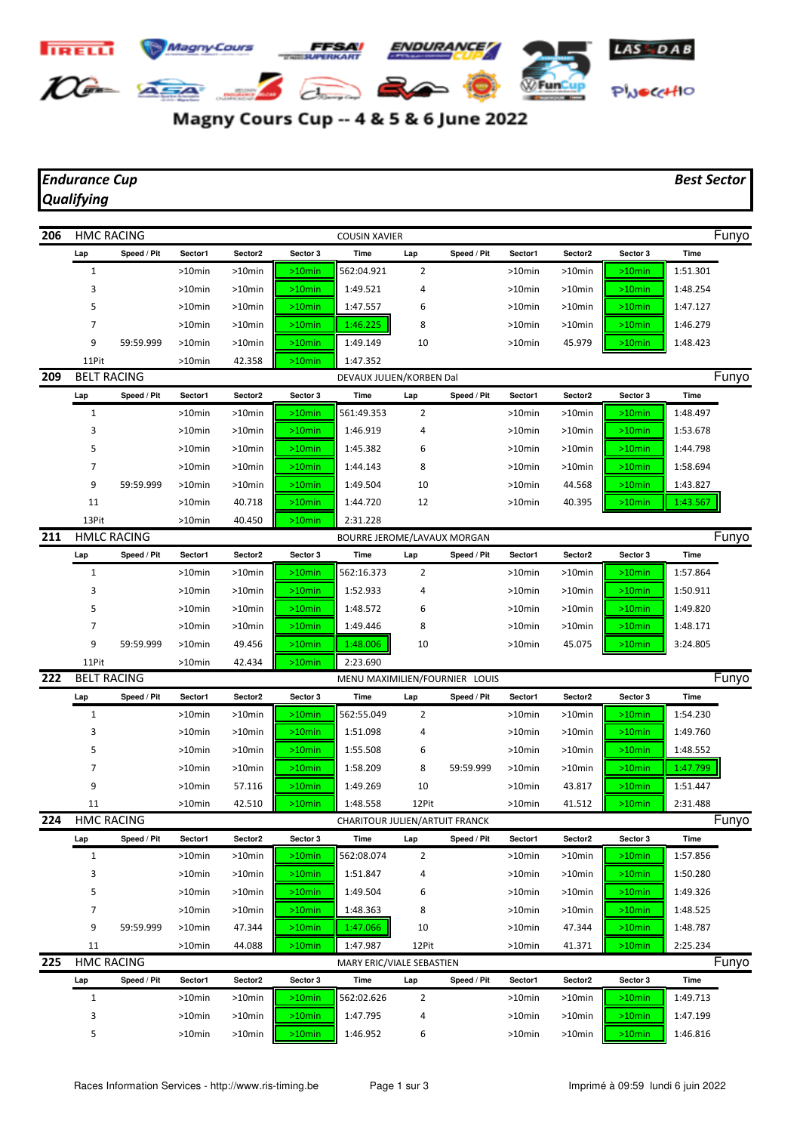Magny Cours Cup -- 4 & 5 & 6 June 2022

*Qualifying*

| 206 | <b>HMC RACING</b><br><b>COUSIN XAVIER</b> |             |           |                             |                                |                                |                |             |           | Funyo     |           |          |       |  |
|-----|-------------------------------------------|-------------|-----------|-----------------------------|--------------------------------|--------------------------------|----------------|-------------|-----------|-----------|-----------|----------|-------|--|
|     | Lap                                       | Speed / Pit | Sector1   | Sector2                     | Sector 3                       | Time                           | Lap            | Speed / Pit | Sector1   | Sector2   | Sector 3  | Time     |       |  |
|     | $\mathbf{1}$                              |             | $>10$ min | >10min                      | $>10$ min                      | 562:04.921                     | 2              |             | $>10$ min | $>10$ min | $>10$ min | 1:51.301 |       |  |
|     | 3                                         |             | >10min    | >10min                      | $>10$ min                      | 1:49.521                       | 4              |             | >10min    | >10min    | $>10$ min | 1:48.254 |       |  |
|     | 5                                         |             | >10min    | >10min                      | >10min                         | 1:47.557                       | 6              |             | >10min    | >10min    | $>10$ min | 1:47.127 |       |  |
|     | 7                                         |             | >10min    | >10min                      | $>10$ min                      | 1:46.225                       | 8              |             | >10min    | >10min    | $>10$ min | 1:46.279 |       |  |
|     | 9                                         | 59:59.999   | $>10$ min | >10min                      | $>10$ min                      | 1:49.149                       | 10             |             | >10min    | 45.979    | $>10$ min | 1:48.423 |       |  |
|     | 11Pit                                     |             | $>10$ min | 42.358                      | $>10$ min                      | 1:47.352                       |                |             |           |           |           |          |       |  |
| 209 | <b>BELT RACING</b>                        |             |           |                             |                                | DEVAUX JULIEN/KORBEN Dal       |                |             |           |           |           |          | Funyo |  |
|     | Lap                                       | Speed / Pit | Sector1   | Sector2                     | Sector 3                       | Time                           | Lap            | Speed / Pit | Sector1   | Sector2   | Sector 3  | Time     |       |  |
|     | 1                                         |             | >10min    | >10min                      | $>10$ min                      | 561:49.353                     | 2              |             | $>10$ min | >10min    | $>10$ min | 1:48.497 |       |  |
|     | 3                                         |             | $>10$ min | >10min                      | $>10$ min                      | 1:46.919                       | 4              |             | $>10$ min | >10min    | $>10$ min | 1:53.678 |       |  |
|     | 5                                         |             | >10min    | >10min                      | $>10$ min                      | 1:45.382                       | 6              |             | >10min    | >10min    | $>10$ min | 1:44.798 |       |  |
|     | 7                                         |             | >10min    | >10min                      | $>10$ min                      | 1:44.143                       | 8              |             | >10min    | >10min    | $>10$ min | 1:58.694 |       |  |
|     | 9                                         | 59:59.999   | >10min    | >10min                      | >10min                         | 1:49.504                       | 10             |             | >10min    | 44.568    | $>10$ min | 1:43.827 |       |  |
|     | 11                                        |             | $>10$ min | 40.718                      | $>10$ min                      | 1:44.720                       | 12             |             | >10min    | 40.395    | $>10$ min | 1:43.567 |       |  |
|     | 13Pit                                     |             | $>10$ min | 40.450                      | $>10$ min                      | 2:31.228                       |                |             |           |           |           |          |       |  |
| 211 | <b>HMLC RACING</b>                        |             |           | BOURRE JEROME/LAVAUX MORGAN |                                |                                |                |             |           |           |           |          | Funyo |  |
|     | Lap                                       | Speed / Pit | Sector1   | Sector2                     | Sector 3                       | Time                           | Lap            | Speed / Pit | Sector1   | Sector2   | Sector 3  | Time     |       |  |
|     | $\mathbf{1}$                              |             | >10min    | >10min                      | $>10$ min                      | 562:16.373                     | $\overline{2}$ |             | >10min    | >10min    | $>10$ min | 1:57.864 |       |  |
|     | 3                                         |             | >10min    | >10min                      | $>10$ min                      | 1:52.933                       | 4              |             | >10min    | >10min    | $>10$ min | 1:50.911 |       |  |
|     | 5                                         |             | $>10$ min | $>10$ min                   | $>10$ min                      | 1:48.572                       | 6              |             | >10min    | >10min    | $>10$ min | 1:49.820 |       |  |
|     | 7                                         |             | >10min    | >10min                      | $>10$ min                      | 1:49.446                       | 8              |             | >10min    | >10min    | $>10$ min | 1:48.171 |       |  |
|     | 9                                         | 59:59.999   | >10min    | 49.456                      | $>10$ min                      | 1:48.006                       | 10             |             | >10min    | 45.075    | $>10$ min | 3:24.805 |       |  |
|     | 11Pit                                     |             | >10min    | 42.434                      | $>10$ min                      | 2:23.690                       |                |             |           |           |           |          |       |  |
| 222 | <b>BELT RACING</b>                        |             |           |                             | MENU MAXIMILIEN/FOURNIER LOUIS |                                |                |             |           |           |           | Funyo    |       |  |
|     | Lap                                       | Speed / Pit | Sector1   | Sector2                     | Sector 3                       | Time                           | Lap            | Speed / Pit | Sector1   | Sector2   | Sector 3  | Time     |       |  |
|     | $\mathbf{1}$                              |             | $>10$ min | >10min                      | $>10$ min                      | 562:55.049                     | 2              |             | >10min    | $>10$ min | $>10$ min | 1:54.230 |       |  |
|     | 3                                         |             | $>10$ min | >10min                      | $>10$ min                      | 1:51.098                       | 4              |             | $>10$ min | >10min    | $>10$ min | 1:49.760 |       |  |
|     | 5                                         |             | >10min    | $>10$ min                   | $>10$ min                      | 1:55.508                       | 6              |             | >10min    | >10min    | $>10$ min | 1:48.552 |       |  |
|     | 7                                         |             | >10min    | >10min                      | $>10$ min                      | 1:58.209                       | 8              | 59:59.999   | >10min    | >10min    | $>10$ min | 1:47.799 |       |  |
|     | 9                                         |             | >10min    | 57.116                      | $>10$ min                      | 1:49.269                       | 10             |             | >10min    | 43.817    | $>10$ min | 1:51.447 |       |  |
|     | 11                                        |             | >10min    | 42.510                      | $>10$ min                      | 1:48.558                       | 12Pit          |             | $>10$ min | 41.512    | $>10$ min | 2:31.488 |       |  |
| 224 | <b>HMC RACING</b>                         |             |           |                             |                                | CHARITOUR JULIEN/ARTUIT FRANCK |                |             |           |           |           | Funyo    |       |  |
|     | Lap                                       | Speed / Pit | Sector1   | Sector2                     | Sector 3                       | Time                           | Lap            | Speed / Pit | Sector1   | Sector2   | Sector 3  | Time     |       |  |
|     | $\mathbf{1}$                              |             | >10min    | >10min                      | $>10$ min                      | 562:08.074                     | 2              |             | $>10$ min | $>10$ min | $>10$ min | 1:57.856 |       |  |
|     | 3                                         |             | $>10$ min | >10min                      | $>10$ min                      | 1:51.847                       | 4              |             | $>10$ min | >10min    | $>10$ min | 1:50.280 |       |  |
|     | 5                                         |             | $>10$ min | $>10$ min                   | $>10$ min                      | 1:49.504                       | 6              |             | $>10$ min | >10min    | $>10$ min | 1:49.326 |       |  |
|     | 7                                         |             | $>10$ min | >10min                      | $>10$ min                      | 1:48.363                       | 8              |             | $>10$ min | >10min    | $>10$ min | 1:48.525 |       |  |
|     | 9                                         | 59:59.999   | >10min    | 47.344                      | $>10$ min                      | 1:47.066                       | 10             |             | >10min    | 47.344    | $>10$ min | 1:48.787 |       |  |
|     | 11                                        |             | $>10$ min | 44.088                      | $>10$ min                      | 1:47.987                       | 12Pit          |             | $>10$ min | 41.371    | $>10$ min | 2:25.234 |       |  |
| 225 | <b>HMC RACING</b>                         |             |           |                             |                                | MARY ERIC/VIALE SEBASTIEN      |                |             |           |           |           |          | Funyo |  |
|     | Lap                                       | Speed / Pit | Sector1   | Sector2                     | Sector 3                       | Time                           | Lap            | Speed / Pit | Sector1   | Sector2   | Sector 3  | Time     |       |  |
|     | $1\,$                                     |             | $>10$ min | $>10$ min                   | $>10$ min                      | 562:02.626                     | 2              |             | >10min    | >10min    | $>10$ min | 1:49.713 |       |  |
|     | 3                                         |             | >10min    | >10min                      | $>10$ min                      | 1:47.795                       | 4              |             | >10min    | >10min    | $>10$ min | 1:47.199 |       |  |
|     | 5                                         |             | >10min    | >10min                      | $>10$ min                      | 1:46.952                       | 6              |             | $>10$ min | >10min    | $>10$ min | 1:46.816 |       |  |
|     |                                           |             |           |                             |                                |                                |                |             |           |           |           |          |       |  |

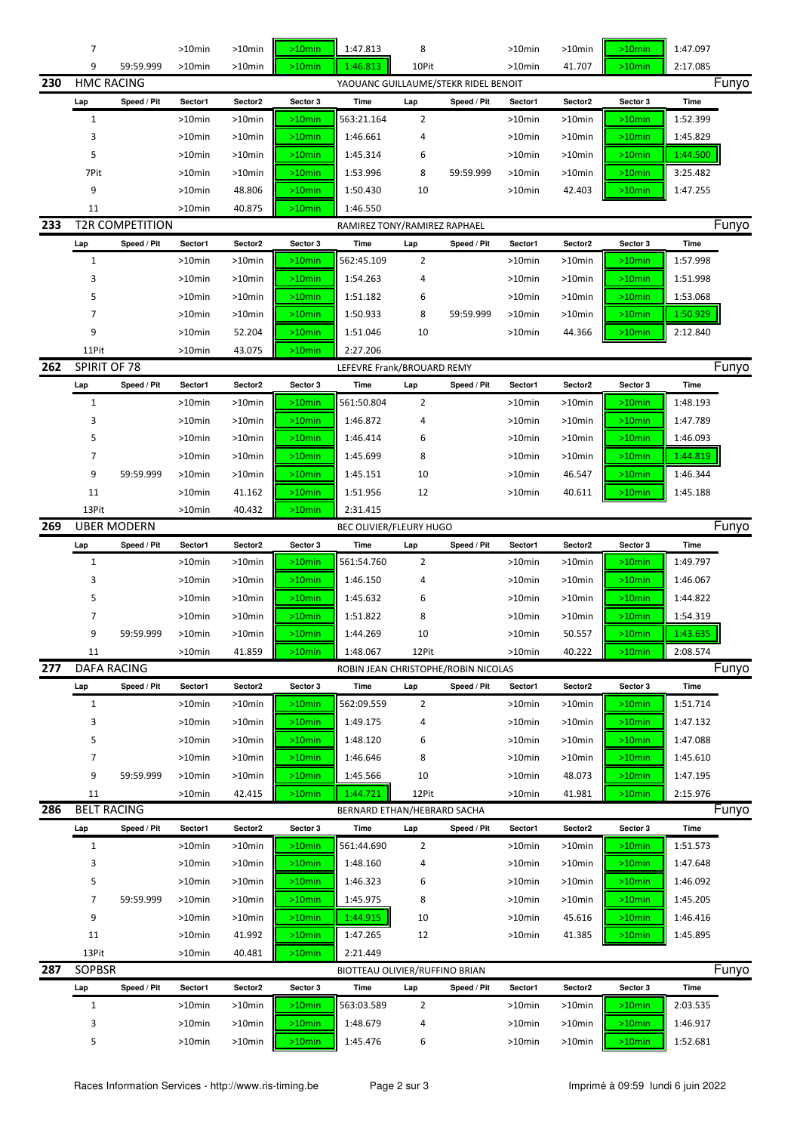|     | 7                  |                        | $>10$ min           | >10min           | $>10$ min              | 1:47.813                       | 8              |                                      | >10min           | $>10$ min           | $>10$ min              | 1:47.097             |       |
|-----|--------------------|------------------------|---------------------|------------------|------------------------|--------------------------------|----------------|--------------------------------------|------------------|---------------------|------------------------|----------------------|-------|
|     | 9                  | 59:59.999              | $>10$ min           | $>10$ min        | $>10$ min              | 1:46.813                       | 10Pit          |                                      | $>10$ min        | 41.707              | $>10$ min              | 2:17.085             |       |
| 230 | <b>HMC RACING</b>  |                        |                     |                  |                        |                                |                | YAOUANC GUILLAUME/STEKR RIDEL BENOIT |                  |                     |                        |                      | Funyo |
|     | Lap                | Speed / Pit            | Sector1             | Sector2          | Sector 3               | Time                           | Lap            | Speed / Pit                          | Sector1          | Sector <sub>2</sub> | Sector 3               | Time                 |       |
|     | 1                  |                        | >10min              | >10min           | $>10$ min              | 563:21.164                     | $\overline{2}$ |                                      | >10min           | >10min              | $>10$ min              | 1:52.399             |       |
|     | 3                  |                        | >10min              | >10min           | $>10$ min              | 1:46.661                       | 4              |                                      | >10min           | $>10$ min           | $>10$ min              | 1:45.829             |       |
|     | 5                  |                        | $>10$ min           | >10min           | $>10$ min              | 1:45.314                       | 6              |                                      | >10min           | >10min              | $>10$ min              | 1:44.500             |       |
|     | 7Pit               |                        | >10min              | >10min           | $>10$ min              | 1:53.996                       | 8              | 59:59.999                            | >10min           | >10min              | $>10$ min              | 3:25.482             |       |
|     | 9                  |                        | >10min              | 48.806           | $>10$ min              | 1:50.430                       | 10             |                                      | >10min           | 42.403              | $>10$ min              | 1:47.255             |       |
|     | 11                 |                        | $>10$ min           | 40.875           | $>10$ min              | 1:46.550                       |                |                                      |                  |                     |                        |                      |       |
| 233 |                    | <b>T2R COMPETITION</b> |                     |                  |                        | RAMIREZ TONY/RAMIREZ RAPHAEL   |                |                                      |                  |                     |                        |                      | Funyo |
|     | Lap                | Speed / Pit            | Sector1             | Sector2          | Sector 3               | Time                           | Lap            | Speed / Pit                          | Sector1          | Sector2             | Sector 3               | Time                 |       |
|     | $\mathbf{1}$       |                        | $>10$ min           | $>10$ min        | $>10$ min              | 562:45.109                     | $\overline{2}$ |                                      | >10min           | $>10$ min           | $>10$ min              | 1:57.998             |       |
|     | 3                  |                        | >10min              | >10min           | $>10$ min              | 1:54.263                       | 4              |                                      | >10min           | >10min              | $>10$ min              | 1:51.998             |       |
|     | 5                  |                        | >10min              | >10min           | $>10$ min              | 1:51.182                       | 6              |                                      | >10min           | $>10$ min           | $>10$ min              | 1:53.068             |       |
|     | 7                  |                        | >10min              | >10min           | $>10$ min              | 1:50.933                       | 8              | 59:59.999                            | >10min           | $>10$ min           | $>10$ min              | 1:50.929             |       |
|     | 9                  |                        | $>10$ min           | 52.204           | $>10$ min              | 1:51.046                       | 10             |                                      | $>10$ min        | 44.366              | $>10$ min              | 2:12.840             |       |
|     | 11Pit              |                        | >10min              | 43.075           | $>10$ min              | 2:27.206                       |                |                                      |                  |                     |                        |                      |       |
| 262 | SPIRIT OF 78       |                        |                     |                  |                        | LEFEVRE Frank/BROUARD REMY     |                |                                      |                  |                     |                        |                      | Funyo |
|     | Lap                | Speed / Pit            | Sector1             | Sector2          | Sector 3               | Time                           | Lap            | Speed / Pit                          | Sector1          | Sector2             | Sector 3               | Time                 |       |
|     | 1                  |                        | >10min              | >10min           | $>10$ min              | 561:50.804                     | 2              |                                      | >10min           | >10min              | $>10$ min              | 1:48.193             |       |
|     | 3                  |                        | $>10$ min           | >10min           | $>10$ min              | 1:46.872                       | 4              |                                      | >10min           | $>10$ min           | $>10$ min              | 1:47.789             |       |
|     | 5                  |                        | $>10$ min           | >10min           | $>10$ min              | 1:46.414                       | 6              |                                      | >10min           | >10min              | $>10$ min              | 1:46.093             |       |
|     | $\overline{7}$     |                        | >10min              | >10min           | $>10$ min              | 1:45.699                       | 8              |                                      | >10min           | >10min              | $>10$ min              | 1:44.819             |       |
|     | 9                  | 59:59.999              | >10min              | $>10$ min        | $>10$ min              | 1:45.151                       | 10             |                                      | >10min           | 46.547              | $>10$ min              | 1:46.344             |       |
|     | 11                 |                        | $>10$ min           | 41.162           | $>10$ min              | 1:51.956                       | 12             |                                      | >10min           | 40.611              | $>10$ min              | 1:45.188             |       |
|     | 13Pit              |                        | $>10$ min           | 40.432           | $>10$ min              | 2:31.415                       |                |                                      |                  |                     |                        |                      |       |
| 269 |                    | <b>UBER MODERN</b>     |                     |                  |                        | BEC OLIVIER/FLEURY HUGO        |                |                                      |                  |                     |                        |                      | Funyo |
|     | Lap                | Speed / Pit            | Sector1             | Sector2          | Sector 3               | Time                           | Lap            | Speed / Pit                          | Sector1          | Sector2             | Sector 3               | Time                 |       |
|     |                    |                        |                     |                  |                        |                                |                |                                      |                  |                     |                        |                      |       |
|     |                    |                        |                     |                  |                        |                                |                |                                      |                  |                     |                        |                      |       |
|     | $\mathbf{1}$       |                        | >10min              | >10min           | $>10$ min              | 561:54.760                     | $\overline{2}$ |                                      | >10min           | >10min              | $>10$ min              | 1:49.797             |       |
|     | 3                  |                        | >10min              | >10min           | $>10$ min              | 1:46.150                       | 4              |                                      | >10min           | $>10$ min           | $>10$ min              | 1:46.067             |       |
|     | 5                  |                        | >10min              | >10min           | $>10$ min              | 1:45.632                       | 6              |                                      | >10min           | >10min              | $>10$ min              | 1:44.822             |       |
|     | 7                  |                        | $>10$ min           | >10min           | $>10$ min              | 1:51.822                       | 8              |                                      | $>10$ min        | >10min              | $>10$ min              | 1:54.319             |       |
|     | 9                  | 59:59.999              | $>10$ min           | >10min           | $>10$ min              | 1:44.269                       | 10             |                                      | >10min           | 50.557              | $>10$ min              | 1:43.635             |       |
|     | 11                 |                        | $>10$ min           | 41.859           | $>10$ min              | 1:48.067                       | 12Pit          |                                      | >10min           | 40.222              | $>10$ min              | 2:08.574             |       |
| 277 |                    | DAFA RACING            |                     |                  |                        |                                |                | ROBIN JEAN CHRISTOPHE/ROBIN NICOLAS  |                  |                     |                        |                      | Funyo |
|     | Lap                | Speed / Pit            | Sector1             | Sector2          | Sector 3               | Time                           | Lap            | Speed / Pit                          | Sector1          | Sector2             | Sector 3               | Time                 |       |
|     | $\mathbf{1}$       |                        | $>10$ min           | >10min           | $>10$ min              | 562:09.559                     | 2              |                                      | >10min           | $>10$ min           | $>10$ min              | 1:51.714             |       |
|     | 3                  |                        | >10min              | >10min           | $>10$ min              | 1:49.175                       | 4              |                                      | >10min           | >10min              | $>10$ min              | 1:47.132             |       |
|     | 5                  |                        | >10min              | >10min           | $>10$ min              | 1:48.120                       | 6              |                                      | >10min           | >10min              | $>10$ min              | 1:47.088             |       |
|     | 7                  |                        | >10min              | >10min           | $>10$ min              | 1:46.646                       | 8              |                                      | >10min           | $>10$ min           | $>10$ min              | 1:45.610             |       |
|     | 9                  | 59:59.999              | >10min              | >10min           | $>10$ min              | 1:45.566                       | 10             |                                      | >10min           | 48.073              | $>10$ min              | 1:47.195             |       |
|     | 11                 |                        | $>10$ min           | 42.415           | $>10$ min              | 1:44.721                       | 12Pit          |                                      | $>10$ min        | 41.981              | $>10$ min              | 2:15.976             |       |
| 286 | <b>BELT RACING</b> |                        |                     |                  |                        | BERNARD ETHAN/HEBRARD SACHA    |                |                                      |                  |                     |                        |                      | Funyo |
|     | Lap                | Speed / Pit            | Sector1             | Sector2          | Sector 3               | Time                           | Lap            | Speed / Pit                          | Sector1          | Sector <sub>2</sub> | Sector 3               | Time                 |       |
|     | 1                  |                        | >10min              | >10min           | $>10$ min              | 561:44.690                     | 2              |                                      | >10min           | >10min              | $>10$ min              | 1:51.573             |       |
|     | 3                  |                        | $>10$ min           | >10min           | $>10$ min              | 1:48.160                       | 4              |                                      | >10min           | >10min              | $>10$ min              | 1:47.648             |       |
|     | 5                  |                        | >10min              | >10min           | $>10$ min              | 1:46.323                       | 6              |                                      | >10min           | >10min              | $>10$ min              | 1:46.092             |       |
|     | 7                  | 59:59.999              | >10min              | >10min           | $>10$ min              | 1:45.975                       | 8              |                                      | >10min           | >10min              | $>10$ min              | 1:45.205             |       |
|     | 9                  |                        | >10min              | >10min           | $>10$ min              | 1:44.915                       | 10             |                                      | >10min           | 45.616              | $>10$ min              | 1:46.416             |       |
|     | 11                 |                        | $>10$ min           | 41.992           | $>10$ min              | 1:47.265                       | 12             |                                      | >10min           | 41.385              | $>10$ min              | 1:45.895             |       |
|     | 13Pit              |                        | >10min              | 40.481           | $>10$ min              | 2:21.449                       |                |                                      |                  |                     |                        |                      |       |
| 287 | <b>SOPBSR</b>      |                        |                     |                  |                        | BIOTTEAU OLIVIER/RUFFINO BRIAN |                |                                      |                  |                     |                        |                      | Funyo |
|     | Lap                | Speed / Pit            | Sector1             | Sector2          | Sector 3               | Time                           | Lap            | Speed / Pit                          | Sector1          | Sector <sub>2</sub> | Sector 3               | Time                 |       |
|     | $\mathbf{1}$       |                        | >10min              | >10min           | $>10$ min              | 563:03.589                     | 2              |                                      | >10min           | >10min              | $>10$ min              | 2:03.535             |       |
|     | 3<br>5             |                        | >10min<br>$>10$ min | >10min<br>>10min | $>10$ min<br>$>10$ min | 1:48.679<br>1:45.476           | 4<br>6         |                                      | >10min<br>>10min | >10min<br>>10min    | $>10$ min<br>$>10$ min | 1:46.917<br>1:52.681 |       |